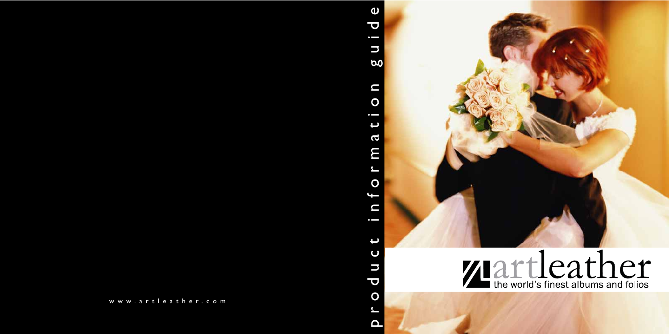



#### $\boldsymbol{\omega}$ product information guide $\overline{\mathbf{C}}$  $\bullet$   $\blacksquare$  $\overline{\phantom{0}}$ 6.0  $\Box$  $\overline{O}$  $\bullet$   $\blacksquare$ Œ  $\boldsymbol{\omega}$ m  $\mathbf O$ P  $\blacksquare$  $\bullet$   $\hspace{0.05cm}$  $\overline{U}$  $\Box$  $\overline{\mathbf{C}}$  $\overline{O}$  $\blacktriangle$  $\mathbf{\Omega}$

#### www.artleather.com

**Zartleather**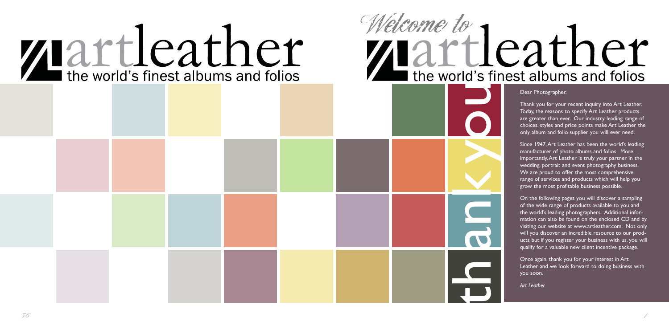Dear Photographer,

Thank you for your recent inquiry into Art Leather. Today, the reasons to specify Art Leather products are greater than ever. Our industry leading range of choices, styles and price points make Art Leather the only album and folio supplier you will ever need.

Since 1947,Art Leather has been the world's leading manufacturer of photo albums and folios. More importantly,Art Leather is truly your partner in the wedding, portrait and event photography business. We are proud to offer the most comprehensive range of services and products which will help you grow the most profitable business possible.



On the following pages you will discover a sampling of the wide range of products available to you and the world's leading photographers. Additional information can also be found on the enclosed CD and by visiting our website at www.artleather.com. Not only will you discover an incredible resource to our products but if you register your business with us, you will qualify for a valuable new client incentive package.

Once again, thank you for your interest in Art Leather and we look forward to doing business with you soon.

*Art Leather*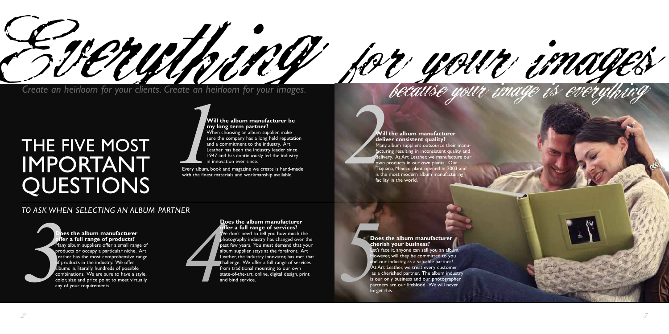#### **my long term partner?**

*1 2* **Will the album manufacturer be** When choosing an album supplier, make sure the company has a long held reputation and a commitment to the industry. Art Leather has been the industry leader since 1947 and has continuously led the industry in innovation ever since.

## THE FIVE MOST IMPORTANT QUESTIONS

Every album, book and magazine we create is hand-made with the finest materials and workmanship available.

#### **Will the album manufacturer deliver consistent quality?**

Many album suppliers outsource their manufacturing resulting in inconsistent quality and delivery. At Art Leather, we manufacture our own products in our own plants. Our Tiajuana, Mexico plant opened in 2003 and is the most modern album manufacturing facility in the world.

**Excess the album manufacturer**<br> **3 A A Excession Excess the simulation of the set of the set of the set of the set of the set of the set of the set of the set of the set of the set of the set of the set of the set Does the album manufacturer offer a full range of services?** We don't need to tell you how much the photography industry has changed over the past few years. You must demand that your album supplier stays at the forefront. Art Leather, the industry innovator, has met that challenge. We offer a full range of services from traditional mounting to our own state-of-the-art, online, digital design, print and bind service.

#### **Does the album manufacturer offer a full range of products?**

Many album suppliers offer a small range of products or occupy a particular niche. Art Leather has the most comprehensive range If products in the industry. We offer albums in, literally, hundreds of possible combinations. We are sure to have a style, color, size and price point to meet virtually any of your requirements.

![](_page_2_Picture_12.jpeg)

![](_page_2_Picture_0.jpeg)

**Does the album manufacturer cherish your business?** Let's face it, anyone can sell you an album. lowever, will they be committed to you and our industry, as a valuable partner? At Art Leather, we treat every customer as a cherished partner. The album industry is our only business and our photographer partners are our lifeblood. We will never forget this.

![](_page_2_Picture_16.jpeg)

#### *TO ASK WHEN SELECTING AN ALBUM PARTNER*

![](_page_2_Picture_9.jpeg)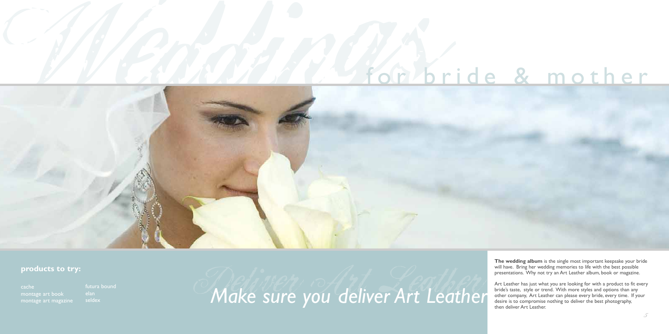![](_page_3_Picture_1.jpeg)

#### **products to try:**

montage art book montage art magazine **The wedding album** is the single most important keepsake your bride will have. Bring her wedding memories to life with the best possible presentations. Why not try an Art Leather album, book or magazine.

Art Leather has just what you are looking for with a product to fit every bride's taste, style or trend. With more styles and options than any other company, Art Leather can please every bride, every time. If your desire is to compromise nothing to deliver the best photography, then deliver Art Leather.

futura bound seldex

Make sure you deliver Art Leather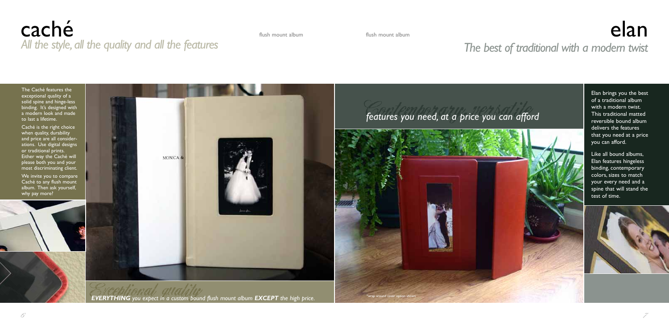The Caché features the exceptional quality of a solid spine and hinge-less binding. It's designed with a modern look and made to last a lifetime.

## caché *All the style,all the quality and all the features The best of traditional with a modern twist*

Caché is the right choice when quality, durability and price are all considerations. Use digital designs or traditional prints. Either way the Caché will please both you and your most discriminating client.

We invite you to compare Caché to any flush mount album. Then ask yourself, why pay more?

![](_page_4_Picture_7.jpeg)

## flush mount album flush mount album elan mount album elan mount album ela ${\bf e}$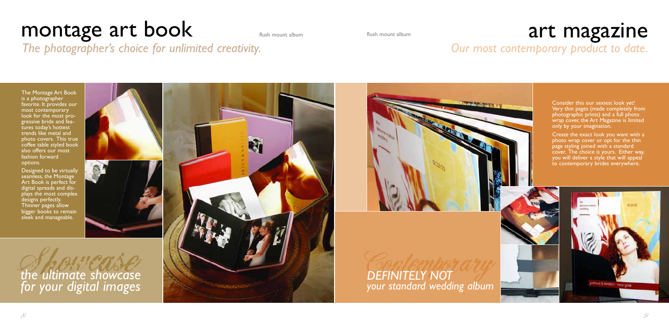Consider this our sexiest look yet! Very thin pages (made completely from photographic prints) and a full photo wrap cover, the Art Magazine is limited only by your imagination.

Create the exact look you want with a photo wrap cover or opt for the thin page styling joined with a standard cover. The choice is yours. Either way, you will deliver a style that will appeal to contemporary brides everywhere.

![](_page_5_Picture_13.jpeg)

## montage art book flush mount album *The photographer's choice for unlimited creativity.*

Designed to be virtually seamless, the Montage Art Book is perfect for digital spreads and displays the most complex designs perfectly. Thinner pages allow bigger books to remain sleek and manageable.

#### art magazine *Our most contemporary product to date.*

**DEFINITELY NOT** *your standard wedding album*

The Montage Art Book is a photographer favorite. It provides our most contemporary look for the most progressive bride and features today's hottest trends like metal and photo covers. This true coffee table styled book also offers our most fashion forward options.

flush mount album

![](_page_5_Picture_6.jpeg)

![](_page_5_Picture_7.jpeg)

![](_page_5_Picture_8.jpeg)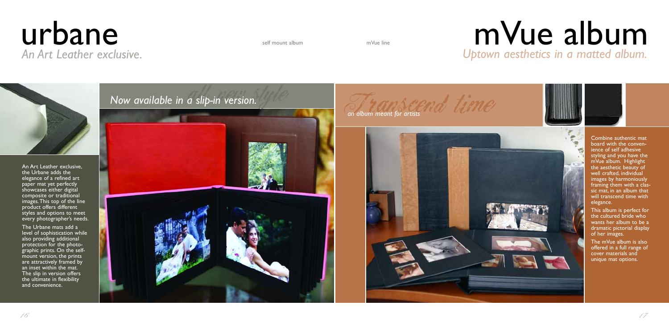## $urbane$ *An Art Leather exclusive.*

An Art Leather exclusive, the Urbane adds the elegance of a refined art paper mat yet perfectly showcases either digital composite or traditional images.This top of the line product offers different styles and options to meet every photographer's needs.

The Urbane mats add a level of sophistication while also providing additional protection for the photographic prints. On the selfmount version, the prints are attractively framed by an inset within the mat. The slip in version offers the ultimate in flexibility and convenience.

*Now available in a slip-in version.* 

![](_page_6_Picture_8.jpeg)

an album meant for artists and time

![](_page_6_Picture_10.jpeg)

mVue line

![](_page_6_Picture_4.jpeg)

## *Uptown aesthetics in a matted album.* mVue album

![](_page_6_Picture_13.jpeg)

![](_page_6_Picture_14.jpeg)

Combine authentic mat board with the convenience of self adhesive styling and you have the mVue album. Highlight the aesthetic beauty of well crafted, individual images by harmoniously framing them with a classic mat, in an album that will transcend time with elegance.

This album is perfect for the cultured bride who wants her album to be a dramatic pictorial display of her images.

The mVue album is also offered in a full range of cover materials and unique mat options.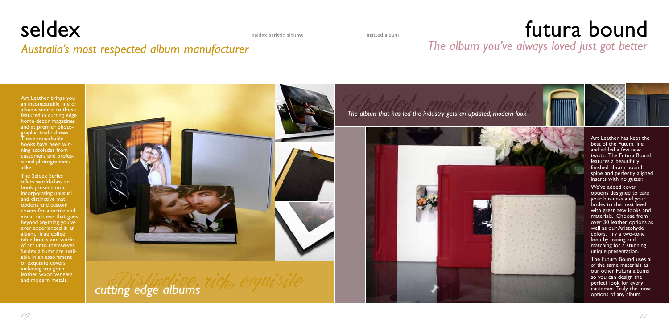### seldex seldex artistic albums and the control of the cound of the cound of the countries album and the countries album of the countries of the countries album and the countries album of the countries of the countries album *The album you've always loved just got better*

![](_page_7_Picture_9.jpeg)

Art Leather brings you an incomparable line of albums similar to those featured in cutting edge home decor magazines and at premier photographic trade shows. These remarkable books have been winning accolades from customers and professional photographers alike.

The Seldex Series offers world-class art book presentation, incorporating unusual and distinctive mat options and custom covers for a tactile and visual richness that goes beyond anything you've ever experienced in an album. True coffee table books and works of art unto themselves, Seldex albums are available in an assortment of exquisite covers including top grain leather, wood veneers and modern metals.

![](_page_7_Picture_6.jpeg)

cutting edge albums  $ue_{s}$  exquisitions

seldex artistic albums

*Australia's most respected album manufacturer*

The album that has led the industry gets an updated, modern look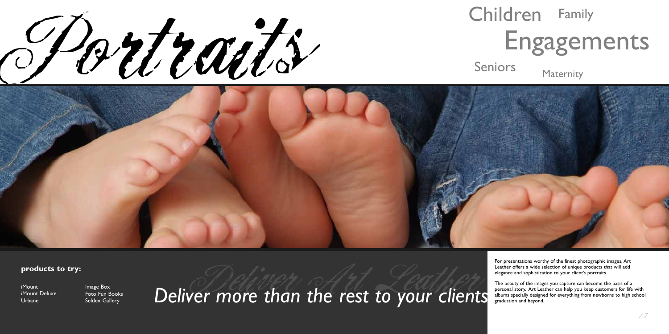Portraits

![](_page_8_Picture_1.jpeg)

Seniors Maternity

![](_page_8_Picture_3.jpeg)

For presentations worthy of the finest photographic images, Art Leather offers a wide selection of unique products that will add elegance and sophistication to your client's portraits.

The beauty of the images you capture can become the basis of a personal story. Art Leather can help you keep customers for life with albums specially designed for everything from newborns to high school

graduation and beyond.

**products to try:**

iMount iMount Deluxe Urbane

## Children Family Engagements

Foto Fun Books Seldex Gallery

Foto Fun Books **Deliver more than the rest to your clients**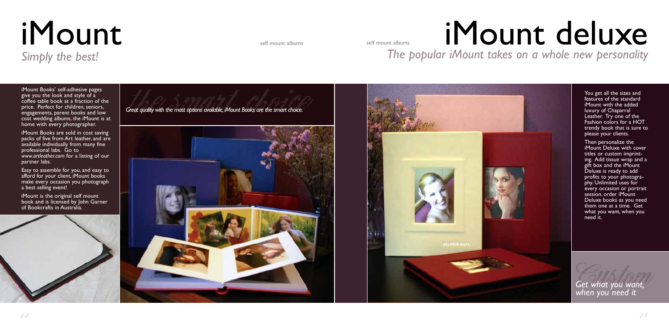# iMount iMount

# *Simply the best!*

self mount albums

iMount Books' self-adhesive pages give you the look and style of a coffee table book at a fraction of the price. Perfect for children, seniors, engagements, parent books and low cost wedding albums, the iMount is at home with every photographer.

Easy to assemble for you, and easy to afford for your client, iMount books make every occasion you photograph a best selling event!

iMount Books are sold in cost saving packs of five from Art leather, and are available individually from many fine professional labs. Go to *www.artleather.com* for a listing of our partner labs.

iMount is the original self mount book and is licensed by John Garner of Bookcrafts in Australia.

![](_page_9_Picture_8.jpeg)

![](_page_9_Picture_9.jpeg)

*Get what you want, when you need it*

![](_page_9_Picture_10.jpeg)

features of the standard iMount with the added luxury of Chaparral Leather. Try one of the Fashion colors for a HOT trendy book that is sure to please your clients.

Then personalize the iMount Deluxe with cover titles or custom imprinting. Add tissue wrap and a gift box and the iMount Deluxe is ready to add profits to your photography. Unlimited uses for every occasion or portrait session, order iMount Deluxe books as you need them one at a time. Get what you want, when you need it.

*The popular iMount takes on a whole new personality*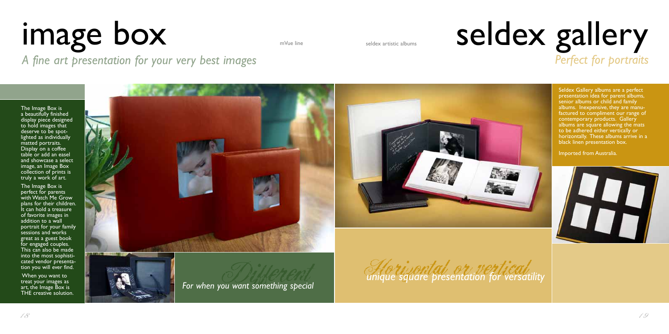Seldex Gallery albums are a perfect presentation idea for parent albums, senior albums or child and family albums. Inexpensive, they are manufactured to compliment our range of contemporary products. Gallery albums are square allowing the mats to be adhered either vertically or horizontally. These albums arrive in a black linen presentation box.

## seldex gallery *Perfect for portraits*

Imported from Australia.

![](_page_10_Picture_14.jpeg)

![](_page_10_Picture_15.jpeg)

![](_page_10_Picture_8.jpeg)

![](_page_10_Picture_10.jpeg)

## image box mVue line *A fine art presentation for your very best images*

The Image Box is a beautifully finished display piece designed to hold images that deserve to be spotlighted as individually matted portraits. Display on a coffee table or add an easel and showcase a select image, an Image Box collection of prints is truly a work of art.

The Image Box is perfect for parents with Watch Me Grow plans for their children. It can hold a treasure of favorite images in addition to a wall portrait for your family sessions and works great as a guest book for engaged couples. This can also be made into the most sophisticated vendor presentation you will ever find.

When you want to treat your images as art, the Image Box is THE creative solution.

![](_page_10_Picture_6.jpeg)

![](_page_10_Picture_7.jpeg)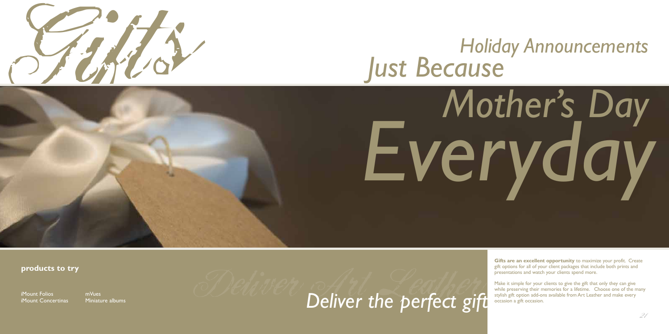![](_page_11_Picture_0.jpeg)

**Gifts are an excellent opportunity** to maximize your profit. Create gift options for all of your client packages that include both prints and presentations and watch your clients spend more.

Make it simple for your clients to give the gift that only they can give while preserving their memories for a lifetime. Choose one of the many stylish gift option add-ons available from Art Leather and make every

occasion a gift occasion.

#### **products to try**

iMount Folios iMount Concertinas

## *Holiday Announcements Just Because*

![](_page_11_Picture_9.jpeg)

# *Everyday*

Miniature albums

## mVues albums **Deliver the perfect gift**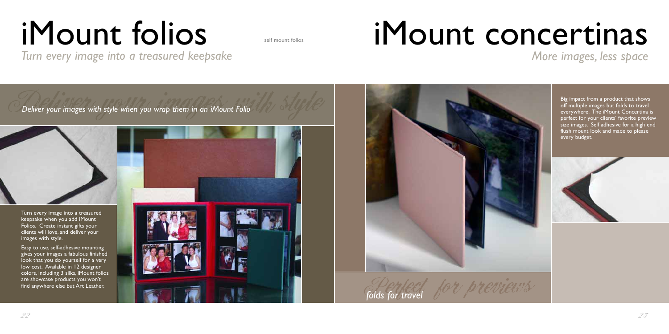Turn every image into a treasured keepsake when you add iMount Folios. Create instant gifts your clients will love, and deliver your images with style.

Easy to use, self-adhesive mounting gives your images a fabulous finished look that you do yourself for a very low cost. Available in 12 designer colors, including 3 silks, iMount folios are showcase products you won't find anywhere else but Art Leather.

![](_page_12_Picture_8.jpeg)

## *Turn every image into a treasured keepsake More images, less space* iMount folios iMount concertinas

![](_page_12_Picture_5.jpeg)

![](_page_12_Picture_9.jpeg)

off multiple images but folds to travel everywhere. The iMount Concertina is perfect for your clients' favorite preview size images. Self adhesive for a high end flush mount look and made to please every budget.

![](_page_12_Picture_13.jpeg)

self mount folios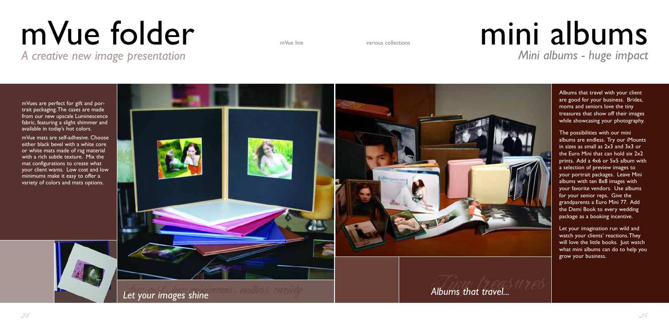# mVue folder

mVues are perfect for gift and portrait packaging.The cases are made from our new upscale Luminescence fabric, featuring a slight shimmer and available in today's hot colors.

mVue mats are self-adhesive. Choose either black bevel with a white core or white mats made of rag material with a rich subtle texture. Mix the mat configurations to create what your client wants. Low cost and low minimums make it easy to offer a variety of colors and mats options.

*A creative new image presentation*

![](_page_13_Picture_4.jpeg)

Albums that travel with your client are good for your business. Brides, moms and seniors love the tiny treasures that show off their images while showcasing your photography.

## mVue line various collections **mini albums** *Mini albums - huge impact*

![](_page_13_Picture_7.jpeg)

![](_page_13_Picture_8.jpeg)

The possibilities with our mini albums are endless. Try our iMounts in sizes as small as 2x3 and 3x3 or the Euro Mini that can hold six 2x2 prints. Add a 4x6 or 5x5 album with a selection of preview images to your portrait packages. Leave Mini albums with ten 8x8 images with your favorite vendors. Use albums for your senior reps. Give the grandparents a Euro Mini 77. Add the Demi Book to every wedding package as a booking incentive.

Let your imagination run wild and watch your clients' reactions.They will love the little books. Just watch what mini albums can do to help you grow your business.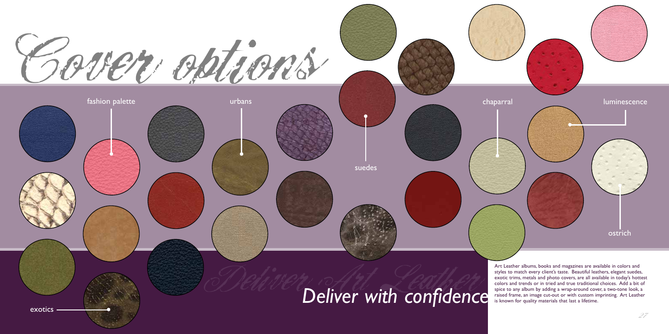![](_page_14_Picture_0.jpeg)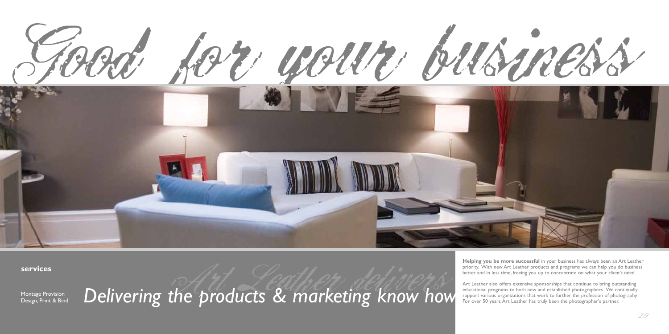![](_page_15_Picture_0.jpeg)

**services to try:**

Art Leather also offers extensive sponsorships that continue to bring outstanding educational programs to both new and established photographers. We continually support various organizations that work to further the profession of photography. For over 50 years, Art Leather has truly been the photographer's partner.

Montage Provision Design, Print & Bind Delivering the products & marketing know how

**Helping you be more successful** in your business has always been an Art Leather priority. With new Art Leather products and programs we can help you do business better and in less time, freeing you up to concentrate on what your client's need.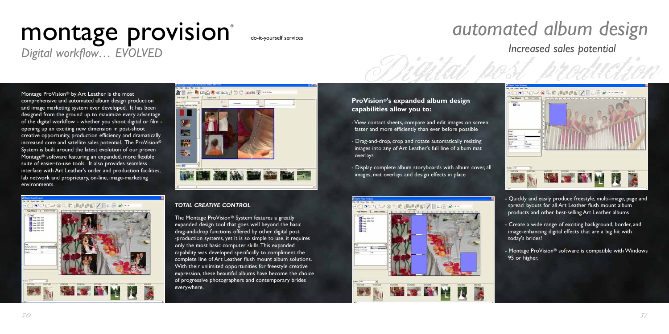![](_page_16_Picture_15.jpeg)

Montage ProVision® by Art Leather is the most comprehensive and automated album design production and image marketing system ever developed. It has been designed from the ground up to maximize every advantage of the digital workflow - whether you shoot digital or film opening up an exciting new dimension in post-shoot creative opportunity, production efficiency and dramatically increased core and satellite sales potential. The ProVision® System is built around the latest evolution of our proven Montage® software featuring an expanded, more flexible suite of easier-to-use tools. It also provides seamless interface with Art Leather's order and production facilities, lab network and proprietary, on-line, image-marketing environments.

▼ワイン多年的通信の区 ■ 山田 & …

**WEIGHT** 

![](_page_16_Picture_5.jpeg)

## montage provision® *Digital workflow… EVOLVED*

![](_page_16_Picture_6.jpeg)

The Montage ProVision® System features a greatly expanded design tool that goes well beyond the basic drag-and-drop functions offered by other digital post -production systems, yet it is so simple to use, it requires only the most basic computer skills.This expanded capability was developed specifically to compliment the complete line of Art Leather flush mount album solutions. With their unlimited opportunities for freestyle creative expression, these beautiful albums have become the choice of progressive photographers and contemporary brides everywhere.

do-it-yourself services

#### **ProVision®'s expanded album design capabilities allow you to:**

- View contact sheets, compare and edit images on screen faster and more efficiently than ever before possible
- Drag-and-drop, crop and rotate automatically resizing images into any of Art Leather's full line of album mat overlays
- Display complete album storyboards with album cover, all images, mat overlays and design effects in place

![](_page_16_Picture_12.jpeg)

**PA** 

![](_page_16_Picture_13.jpeg)

**Distant** 

- Quickly and easily produce freestyle, multi-image, page and spread layouts for all Art Leather flush mount album products and other best-selling Art Leather albums

- Create a wide range of exciting background, border, and image-enhancing digital effects that are a big hit with today's brides!

- Montage ProVision® software is compatible with Windows 95 or higher.

 $30^\circ$ 

#### *automated album design Increased sales potential*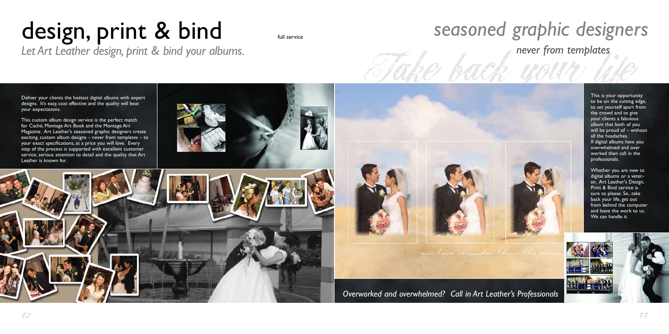![](_page_17_Picture_13.jpeg)

Take back your life

Deliver your clients the hottest digital albums with expert designs. It's easy, cost effective and the quality will beat your expectations.

## design, print & bind *Let Art Leather design, print & bind your albums.*

This custom album design service is the perfect match for Caché, Montage Art Book and the Montage Art Magazine. Art Leather's seasoned graphic designers create exciting, custom album designs – never from templates – to your exact specifications, at a price you will love. Every step of the process is supported with excellent customer service, serious attention to detail and the quality that Art Leather is known for.

![](_page_17_Picture_6.jpeg)

![](_page_17_Picture_7.jpeg)

full service

This is your opportunity to be on the cutting edge, to set yourself apart from the crowd and to give your clients a fabulous album that both of you will be proud of – without all the headaches. If digital albums have you overwhelmed and over worked then call in the professionals.

Whether you are new to digital albums or a veteran, Art Leather's Design, Print & Bind service is sure to please. So...take back your life, get out from behind the computer and leave the work to us. We can handle it.

![](_page_17_Picture_12.jpeg)

*Overworked and overwhelmed? Call in Art Leather's Professionals*

and lower to and the the

## *seasoned graphic designers never from templates*